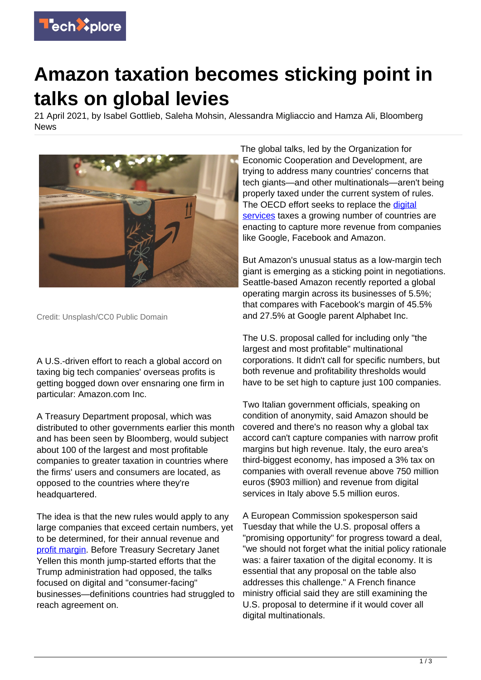

## **Amazon taxation becomes sticking point in talks on global levies**

21 April 2021, by Isabel Gottlieb, Saleha Mohsin, Alessandra Migliaccio and Hamza Ali, Bloomberg News



Credit: Unsplash/CC0 Public Domain

A U.S.-driven effort to reach a global accord on taxing big tech companies' overseas profits is getting bogged down over ensnaring one firm in particular: Amazon.com Inc.

A Treasury Department proposal, which was distributed to other governments earlier this month and has been seen by Bloomberg, would subject about 100 of the largest and most profitable companies to greater taxation in countries where the firms' users and consumers are located, as opposed to the countries where they're headquartered.

The idea is that the new rules would apply to any large companies that exceed certain numbers, yet to be determined, for their annual revenue and [profit margin](https://techxplore.com/tags/profit+margin/). Before Treasury Secretary Janet Yellen this month jump-started efforts that the Trump administration had opposed, the talks focused on digital and "consumer-facing" businesses—definitions countries had struggled to reach agreement on.

The global talks, led by the Organization for Economic Cooperation and Development, are trying to address many countries' concerns that tech giants—and other multinationals—aren't being properly taxed under the current system of rules. The OECD effort seeks to replace the [digital](https://techxplore.com/tags/digital+services/) [services](https://techxplore.com/tags/digital+services/) taxes a growing number of countries are enacting to capture more revenue from companies like Google, Facebook and Amazon.

But Amazon's unusual status as a low-margin tech giant is emerging as a sticking point in negotiations. Seattle-based Amazon recently reported a global operating margin across its businesses of 5.5%; that compares with Facebook's margin of 45.5% and 27.5% at Google parent Alphabet Inc.

The U.S. proposal called for including only "the largest and most profitable" multinational corporations. It didn't call for specific numbers, but both revenue and profitability thresholds would have to be set high to capture just 100 companies.

Two Italian government officials, speaking on condition of anonymity, said Amazon should be covered and there's no reason why a global tax accord can't capture companies with narrow profit margins but high revenue. Italy, the euro area's third-biggest economy, has imposed a 3% tax on companies with overall revenue above 750 million euros (\$903 million) and revenue from digital services in Italy above 5.5 million euros.

A European Commission spokesperson said Tuesday that while the U.S. proposal offers a "promising opportunity" for progress toward a deal, "we should not forget what the initial policy rationale was: a fairer taxation of the digital economy. It is essential that any proposal on the table also addresses this challenge." A French finance ministry official said they are still examining the U.S. proposal to determine if it would cover all digital multinationals.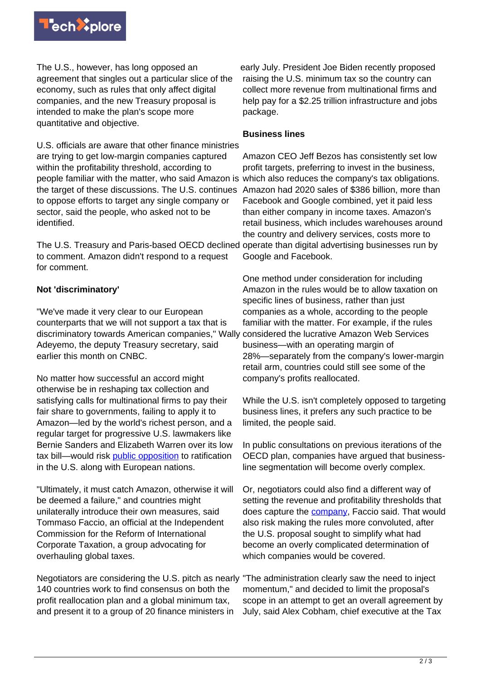

The U.S., however, has long opposed an agreement that singles out a particular slice of the economy, such as rules that only affect digital companies, and the new Treasury proposal is intended to make the plan's scope more quantitative and objective.

U.S. officials are aware that other finance ministries are trying to get low-margin companies captured within the profitability threshold, according to people familiar with the matter, who said Amazon is which also reduces the company's tax obligations. the target of these discussions. The U.S. continues Amazon had 2020 sales of \$386 billion, more than to oppose efforts to target any single company or sector, said the people, who asked not to be identified.

The U.S. Treasury and Paris-based OECD declined operate than digital advertising businesses run by to comment. Amazon didn't respond to a request for comment.

## **Not 'discriminatory'**

"We've made it very clear to our European counterparts that we will not support a tax that is discriminatory towards American companies," Wally considered the lucrative Amazon Web Services Adeyemo, the deputy Treasury secretary, said earlier this month on CNBC.

No matter how successful an accord might otherwise be in reshaping tax collection and satisfying calls for multinational firms to pay their fair share to governments, failing to apply it to Amazon—led by the world's richest person, and a regular target for progressive U.S. lawmakers like Bernie Sanders and Elizabeth Warren over its low tax bill—would risk [public opposition](https://techxplore.com/tags/public+opposition/) to ratification in the U.S. along with European nations.

"Ultimately, it must catch Amazon, otherwise it will be deemed a failure," and countries might unilaterally introduce their own measures, said Tommaso Faccio, an official at the Independent Commission for the Reform of International Corporate Taxation, a group advocating for overhauling global taxes.

Negotiators are considering the U.S. pitch as nearly 140 countries work to find consensus on both the profit reallocation plan and a global minimum tax, and present it to a group of 20 finance ministers in

early July. President Joe Biden recently proposed raising the U.S. minimum tax so the country can collect more revenue from multinational firms and help pay for a \$2.25 trillion infrastructure and jobs package.

## **Business lines**

Amazon CEO Jeff Bezos has consistently set low profit targets, preferring to invest in the business, Facebook and Google combined, yet it paid less than either company in income taxes. Amazon's retail business, which includes warehouses around the country and delivery services, costs more to Google and Facebook.

One method under consideration for including Amazon in the rules would be to allow taxation on specific lines of business, rather than just companies as a whole, according to the people familiar with the matter. For example, if the rules business—with an operating margin of 28%—separately from the company's lower-margin retail arm, countries could still see some of the company's profits reallocated.

While the U.S. isn't completely opposed to targeting business lines, it prefers any such practice to be limited, the people said.

In public consultations on previous iterations of the OECD plan, companies have argued that businessline segmentation will become overly complex.

Or, negotiators could also find a different way of setting the revenue and profitability thresholds that does capture the **company**, Faccio said. That would also risk making the rules more convoluted, after the U.S. proposal sought to simplify what had become an overly complicated determination of which companies would be covered.

"The administration clearly saw the need to inject momentum," and decided to limit the proposal's scope in an attempt to get an overall agreement by July, said Alex Cobham, chief executive at the Tax